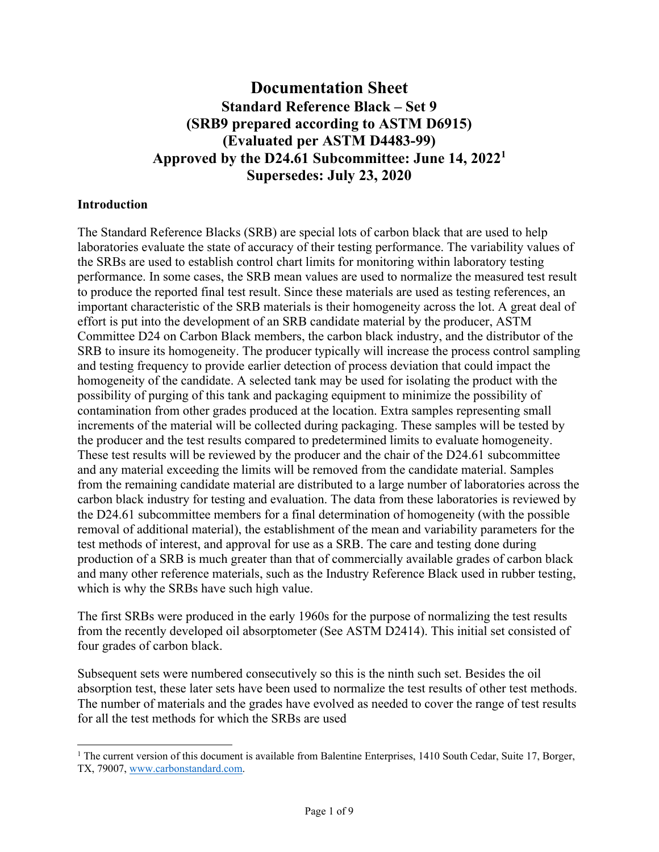# **Documentation Sheet Standard Reference Black – Set 9 (SRB9 prepared according to ASTM D6915) (Evaluated per ASTM D4483-99) Approved by the D24.61 Subcommittee: June 14, 2022<sup>1</sup> Supersedes: July 23, 2020**

#### **Introduction**

The Standard Reference Blacks (SRB) are special lots of carbon black that are used to help laboratories evaluate the state of accuracy of their testing performance. The variability values of the SRBs are used to establish control chart limits for monitoring within laboratory testing performance. In some cases, the SRB mean values are used to normalize the measured test result to produce the reported final test result. Since these materials are used as testing references, an important characteristic of the SRB materials is their homogeneity across the lot. A great deal of effort is put into the development of an SRB candidate material by the producer, ASTM Committee D24 on Carbon Black members, the carbon black industry, and the distributor of the SRB to insure its homogeneity. The producer typically will increase the process control sampling and testing frequency to provide earlier detection of process deviation that could impact the homogeneity of the candidate. A selected tank may be used for isolating the product with the possibility of purging of this tank and packaging equipment to minimize the possibility of contamination from other grades produced at the location. Extra samples representing small increments of the material will be collected during packaging. These samples will be tested by the producer and the test results compared to predetermined limits to evaluate homogeneity. These test results will be reviewed by the producer and the chair of the D24.61 subcommittee and any material exceeding the limits will be removed from the candidate material. Samples from the remaining candidate material are distributed to a large number of laboratories across the carbon black industry for testing and evaluation. The data from these laboratories is reviewed by the D24.61 subcommittee members for a final determination of homogeneity (with the possible removal of additional material), the establishment of the mean and variability parameters for the test methods of interest, and approval for use as a SRB. The care and testing done during production of a SRB is much greater than that of commercially available grades of carbon black and many other reference materials, such as the Industry Reference Black used in rubber testing, which is why the SRBs have such high value.

The first SRBs were produced in the early 1960s for the purpose of normalizing the test results from the recently developed oil absorptometer (See ASTM D2414). This initial set consisted of four grades of carbon black.

Subsequent sets were numbered consecutively so this is the ninth such set. Besides the oil absorption test, these later sets have been used to normalize the test results of other test methods. The number of materials and the grades have evolved as needed to cover the range of test results for all the test methods for which the SRBs are used

<sup>&</sup>lt;sup>1</sup> The current version of this document is available from Balentine Enterprises, 1410 South Cedar, Suite 17, Borger, TX, 79007, www.carbonstandard.com.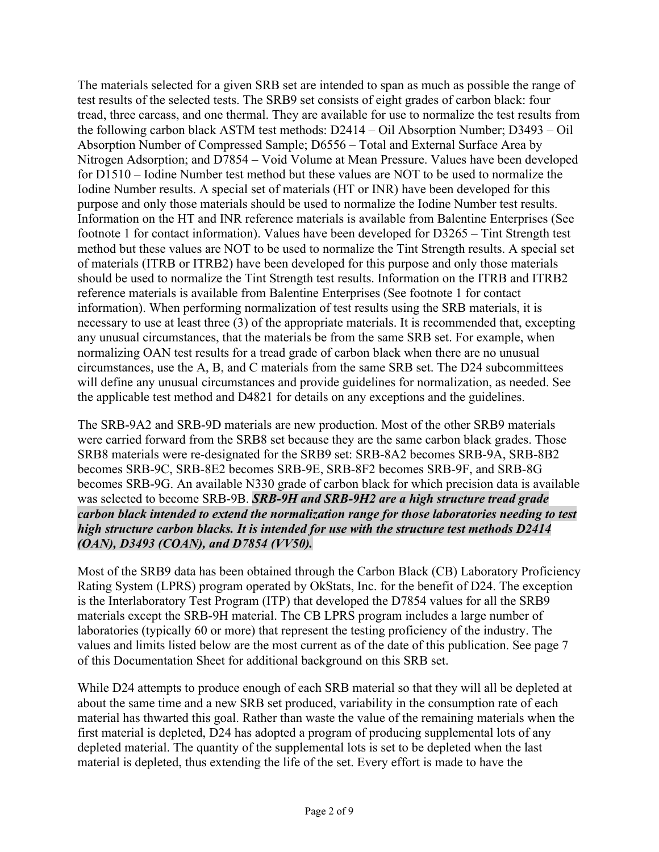The materials selected for a given SRB set are intended to span as much as possible the range of test results of the selected tests. The SRB9 set consists of eight grades of carbon black: four tread, three carcass, and one thermal. They are available for use to normalize the test results from the following carbon black ASTM test methods: D2414 – Oil Absorption Number; D3493 – Oil Absorption Number of Compressed Sample; D6556 – Total and External Surface Area by Nitrogen Adsorption; and D7854 – Void Volume at Mean Pressure. Values have been developed for D1510 – Iodine Number test method but these values are NOT to be used to normalize the Iodine Number results. A special set of materials (HT or INR) have been developed for this purpose and only those materials should be used to normalize the Iodine Number test results. Information on the HT and INR reference materials is available from Balentine Enterprises (See footnote 1 for contact information). Values have been developed for D3265 – Tint Strength test method but these values are NOT to be used to normalize the Tint Strength results. A special set of materials (ITRB or ITRB2) have been developed for this purpose and only those materials should be used to normalize the Tint Strength test results. Information on the ITRB and ITRB2 reference materials is available from Balentine Enterprises (See footnote 1 for contact information). When performing normalization of test results using the SRB materials, it is necessary to use at least three (3) of the appropriate materials. It is recommended that, excepting any unusual circumstances, that the materials be from the same SRB set. For example, when normalizing OAN test results for a tread grade of carbon black when there are no unusual circumstances, use the A, B, and C materials from the same SRB set. The D24 subcommittees will define any unusual circumstances and provide guidelines for normalization, as needed. See the applicable test method and D4821 for details on any exceptions and the guidelines.

The SRB-9A2 and SRB-9D materials are new production. Most of the other SRB9 materials were carried forward from the SRB8 set because they are the same carbon black grades. Those SRB8 materials were re-designated for the SRB9 set: SRB-8A2 becomes SRB-9A, SRB-8B2 becomes SRB-9C, SRB-8E2 becomes SRB-9E, SRB-8F2 becomes SRB-9F, and SRB-8G becomes SRB-9G. An available N330 grade of carbon black for which precision data is available was selected to become SRB-9B. *SRB-9H and SRB-9H2 are a high structure tread grade carbon black intended to extend the normalization range for those laboratories needing to test high structure carbon blacks. It is intended for use with the structure test methods D2414 (OAN), D3493 (COAN), and D7854 (VV50).*

Most of the SRB9 data has been obtained through the Carbon Black (CB) Laboratory Proficiency Rating System (LPRS) program operated by OkStats, Inc. for the benefit of D24. The exception is the Interlaboratory Test Program (ITP) that developed the D7854 values for all the SRB9 materials except the SRB-9H material. The CB LPRS program includes a large number of laboratories (typically 60 or more) that represent the testing proficiency of the industry. The values and limits listed below are the most current as of the date of this publication. See page 7 of this Documentation Sheet for additional background on this SRB set.

While D24 attempts to produce enough of each SRB material so that they will all be depleted at about the same time and a new SRB set produced, variability in the consumption rate of each material has thwarted this goal. Rather than waste the value of the remaining materials when the first material is depleted, D24 has adopted a program of producing supplemental lots of any depleted material. The quantity of the supplemental lots is set to be depleted when the last material is depleted, thus extending the life of the set. Every effort is made to have the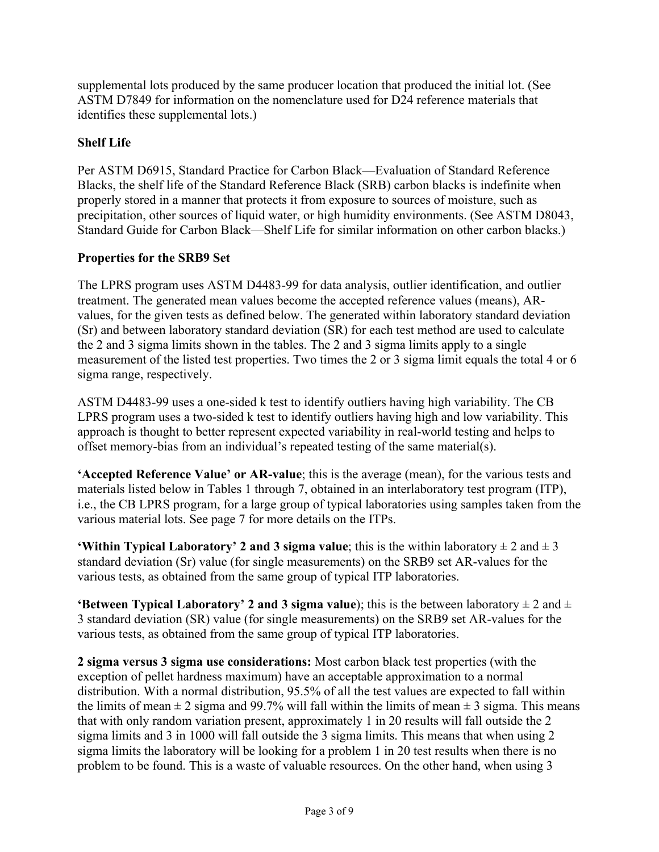supplemental lots produced by the same producer location that produced the initial lot. (See ASTM D7849 for information on the nomenclature used for D24 reference materials that identifies these supplemental lots.)

## **Shelf Life**

Per ASTM D6915, Standard Practice for Carbon Black—Evaluation of Standard Reference Blacks, the shelf life of the Standard Reference Black (SRB) carbon blacks is indefinite when properly stored in a manner that protects it from exposure to sources of moisture, such as precipitation, other sources of liquid water, or high humidity environments. (See ASTM D8043, Standard Guide for Carbon Black—Shelf Life for similar information on other carbon blacks.)

### **Properties for the SRB9 Set**

The LPRS program uses ASTM D4483-99 for data analysis, outlier identification, and outlier treatment. The generated mean values become the accepted reference values (means), ARvalues, for the given tests as defined below. The generated within laboratory standard deviation (Sr) and between laboratory standard deviation (SR) for each test method are used to calculate the 2 and 3 sigma limits shown in the tables. The 2 and 3 sigma limits apply to a single measurement of the listed test properties. Two times the 2 or 3 sigma limit equals the total 4 or 6 sigma range, respectively.

ASTM D4483-99 uses a one-sided k test to identify outliers having high variability. The CB LPRS program uses a two-sided k test to identify outliers having high and low variability. This approach is thought to better represent expected variability in real-world testing and helps to offset memory-bias from an individual's repeated testing of the same material(s).

**'Accepted Reference Value' or AR-value**; this is the average (mean), for the various tests and materials listed below in Tables 1 through 7, obtained in an interlaboratory test program (ITP), i.e., the CB LPRS program, for a large group of typical laboratories using samples taken from the various material lots. See page 7 for more details on the ITPs.

**'Within Typical Laboratory' 2 and 3 sigma value**; this is the within laboratory  $\pm 2$  and  $\pm 3$ standard deviation (Sr) value (for single measurements) on the SRB9 set AR-values for the various tests, as obtained from the same group of typical ITP laboratories.

**'Between Typical Laboratory' 2 and 3 sigma value**); this is the between laboratory  $\pm 2$  and  $\pm$ 3 standard deviation (SR) value (for single measurements) on the SRB9 set AR-values for the various tests, as obtained from the same group of typical ITP laboratories.

**2 sigma versus 3 sigma use considerations:** Most carbon black test properties (with the exception of pellet hardness maximum) have an acceptable approximation to a normal distribution. With a normal distribution, 95.5% of all the test values are expected to fall within the limits of mean  $\pm 2$  sigma and 99.7% will fall within the limits of mean  $\pm 3$  sigma. This means that with only random variation present, approximately 1 in 20 results will fall outside the 2 sigma limits and 3 in 1000 will fall outside the 3 sigma limits. This means that when using 2 sigma limits the laboratory will be looking for a problem 1 in 20 test results when there is no problem to be found. This is a waste of valuable resources. On the other hand, when using 3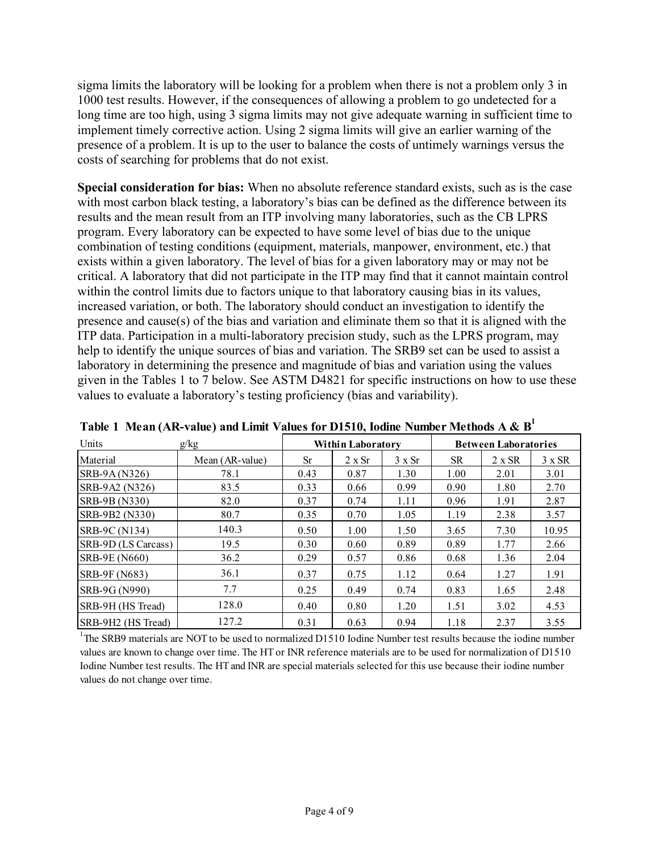sigma limits the laboratory will be looking for a problem when there is not a problem only 3 in 1000 test results. However, if the consequences of allowing a problem to go undetected for a long time are too high, using 3 sigma limits may not give adequate warning in sufficient time to implement timely corrective action. Using 2 sigma limits will give an earlier warning of the presence of a problem. It is up to the user to balance the costs of untimely warnings versus the costs of searching for problems that do not exist.

**Special consideration for bias:** When no absolute reference standard exists, such as is the case with most carbon black testing, a laboratory's bias can be defined as the difference between its results and the mean result from an ITP involving many laboratories, such as the CB LPRS program. Every laboratory can be expected to have some level of bias due to the unique combination of testing conditions (equipment, materials, manpower, environment, etc.) that exists within a given laboratory. The level of bias for a given laboratory may or may not be critical. A laboratory that did not participate in the ITP may find that it cannot maintain control within the control limits due to factors unique to that laboratory causing bias in its values, increased variation, or both. The laboratory should conduct an investigation to identify the presence and cause(s) of the bias and variation and eliminate them so that it is aligned with the ITP data. Participation in a multi-laboratory precision study, such as the LPRS program, may help to identify the unique sources of bias and variation. The SRB9 set can be used to assist a laboratory in determining the presence and magnitude of bias and variation using the values given in the Tables 1 to 7 below. See ASTM D4821 for specific instructions on how to use these values to evaluate a laboratory's testing proficiency (bias and variability).

| Units                | g/kg            |      | <b>Within Laboratory</b> |               |           | <b>Between Laboratories</b> |               |  |
|----------------------|-----------------|------|--------------------------|---------------|-----------|-----------------------------|---------------|--|
| Material             | Mean (AR-value) | Sr   | $2 \times Sr$            | $3 \times Sr$ | <b>SR</b> | $2 \times SR$               | $3 \times SR$ |  |
| SRB-9A (N326)        | 78.1            | 0.43 | 0.87                     | 1.30          | 1.00      | 2.01                        | 3.01          |  |
| SRB-9A2 (N326)       | 83.5            | 0.33 | 0.66                     | 0.99          | 0.90      | 1.80                        | 2.70          |  |
| SRB-9B (N330)        | 82.0            | 0.37 | 0.74                     | 1.11          | 0.96      | 1.91                        | 2.87          |  |
| SRB-9B2 (N330)       | 80.7            | 0.35 | 0.70                     | 1.05          | 1.19      | 2.38                        | 3.57          |  |
| SRB-9C (N134)        | 140.3           | 0.50 | 1.00                     | 1.50          | 3.65      | 7.30                        | 10.95         |  |
| SRB-9D (LS Carcass)  | 19.5            | 0.30 | 0.60                     | 0.89          | 0.89      | 1.77                        | 2.66          |  |
| <b>SRB-9E (N660)</b> | 36.2            | 0.29 | 0.57                     | 0.86          | 0.68      | 1.36                        | 2.04          |  |
| <b>SRB-9F (N683)</b> | 36.1            | 0.37 | 0.75                     | 1.12          | 0.64      | 1.27                        | 1.91          |  |
| SRB-9G (N990)        | 7.7             | 0.25 | 0.49                     | 0.74          | 0.83      | 1.65                        | 2.48          |  |
| SRB-9H (HS Tread)    | 128.0           | 0.40 | 0.80                     | 1.20          | 1.51      | 3.02                        | 4.53          |  |
| SRB-9H2 (HS Tread)   | 127.2           | 0.31 | 0.63                     | 0.94          | 1.18      | 2.37                        | 3.55          |  |

**Table 1 Mean (AR-value) and Limit Values for D1510, Iodine Number Methods A & B1**

<sup>1</sup>The SRB9 materials are NOT to be used to normalized D1510 Iodine Number test results because the iodine number values are known to change over time. The HT or INR reference materials are to be used for normalization of D1510 Iodine Number test results. The HT and INR are special materials selected for this use because their iodine number values do not change over time.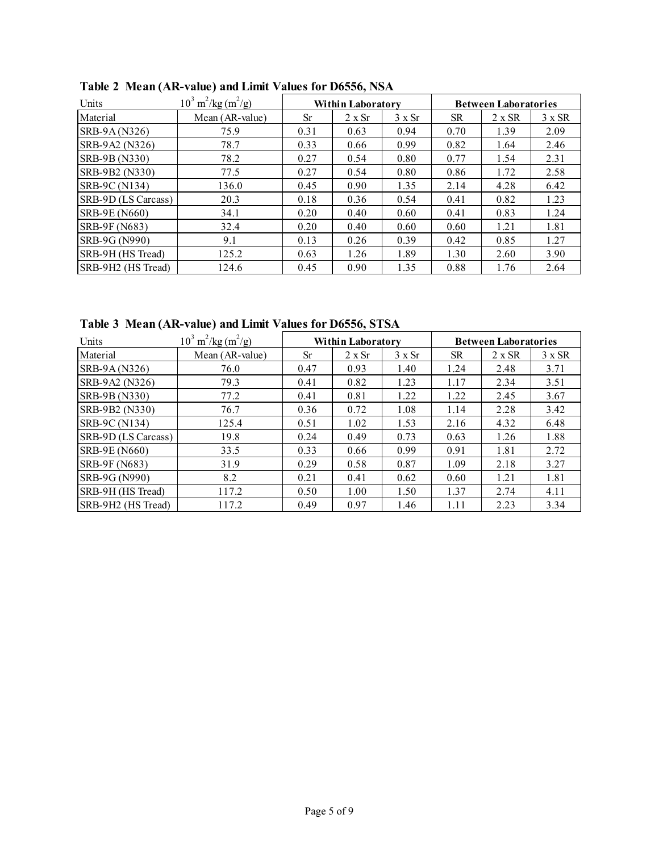| Units               | $10^3 \text{ m}^2/\text{kg} \text{ (m}^2/\text{g)}$ | <b>Within Laboratory</b> |        |               | <b>Between Laboratories</b> |               |      |
|---------------------|-----------------------------------------------------|--------------------------|--------|---------------|-----------------------------|---------------|------|
| Material            | Mean (AR-value)                                     | <b>Sr</b>                | 2 x Sr | $3 \times Sr$ | <b>SR</b>                   | $2 \times SR$ |      |
| SRB-9A (N326)       | 75.9                                                | 0.31                     | 0.63   | 0.94          | 0.70                        | 1.39          | 2.09 |
| SRB-9A2 (N326)      | 78.7                                                | 0.33                     | 0.66   | 0.99          | 0.82                        | 1.64          | 2.46 |
| SRB-9B (N330)       | 78.2                                                | 0.27                     | 0.54   | 0.80          | 0.77                        | 1.54          | 2.31 |
| SRB-9B2 (N330)      | 77.5                                                | 0.27                     | 0.54   | 0.80          | 0.86                        | 1.72          | 2.58 |
| SRB-9C (N134)       | 136.0                                               | 0.45                     | 0.90   | 1.35          | 2.14                        | 4.28          | 6.42 |
| SRB-9D (LS Carcass) | 20.3                                                | 0.18                     | 0.36   | 0.54          | 0.41                        | 0.82          | 1.23 |
| SRB-9E (N660)       | 34.1                                                | 0.20                     | 0.40   | 0.60          | 0.41                        | 0.83          | 1.24 |
| SRB-9F (N683)       | 32.4                                                | 0.20                     | 0.40   | 0.60          | 0.60                        | 1.21          | 1.81 |
| SRB-9G (N990)       | 9.1                                                 | 0.13                     | 0.26   | 0.39          | 0.42                        | 0.85          | 1.27 |
| SRB-9H (HS Tread)   | 125.2                                               | 0.63                     | 1.26   | 1.89          | 1.30                        | 2.60          | 3.90 |
| SRB-9H2 (HS Tread)  | 124.6                                               | 0.45                     | 0.90   | 1.35          | 0.88                        | 1.76          | 2.64 |

**Table 2 Mean (AR-value) and Limit Values for D6556, NSA** 

**Table 3 Mean (AR-value) and Limit Values for D6556, STSA**

| Units               | $10^3 \text{ m}^2/\text{kg} \text{ (m}^2/\text{g)}$ |      | <b>Within Laboratory</b> |               |           | <b>Between Laboratories</b> |               |
|---------------------|-----------------------------------------------------|------|--------------------------|---------------|-----------|-----------------------------|---------------|
| Material            | Mean (AR-value)                                     | Sr   | $2 \times Sr$            | $3 \times Sr$ | <b>SR</b> | $2 \times SR$               | $3 \times SR$ |
| SRB-9A (N326)       | 76.0                                                | 0.47 | 0.93                     | 1.40          | 1.24      | 2.48                        | 3.71          |
| SRB-9A2 (N326)      | 79.3                                                | 0.41 | 0.82                     | 1.23          | 1.17      | 2.34                        | 3.51          |
| SRB-9B (N330)       | 77.2                                                | 0.41 | 0.81                     | 1.22          | 1.22      | 2.45                        | 3.67          |
| SRB-9B2 (N330)      | 76.7                                                | 0.36 | 0.72                     | 1.08          | 1.14      | 2.28                        | 3.42          |
| SRB-9C (N134)       | 125.4                                               | 0.51 | 1.02                     | 1.53          | 2.16      | 4.32                        | 6.48          |
| SRB-9D (LS Carcass) | 19.8                                                | 0.24 | 0.49                     | 0.73          | 0.63      | 1.26                        | 1.88          |
| SRB-9E (N660)       | 33.5                                                | 0.33 | 0.66                     | 0.99          | 0.91      | 1.81                        | 2.72          |
| SRB-9F (N683)       | 31.9                                                | 0.29 | 0.58                     | 0.87          | 1.09      | 2.18                        | 3.27          |
| SRB-9G (N990)       | 8.2                                                 | 0.21 | 0.41                     | 0.62          | 0.60      | 1.21                        | 1.81          |
| SRB-9H (HS Tread)   | 117.2                                               | 0.50 | 1.00                     | 1.50          | 1.37      | 2.74                        | 4.11          |
| SRB-9H2 (HS Tread)  | 117.2                                               | 0.49 | 0.97                     | 1.46          | 1.11      | 2.23                        | 3.34          |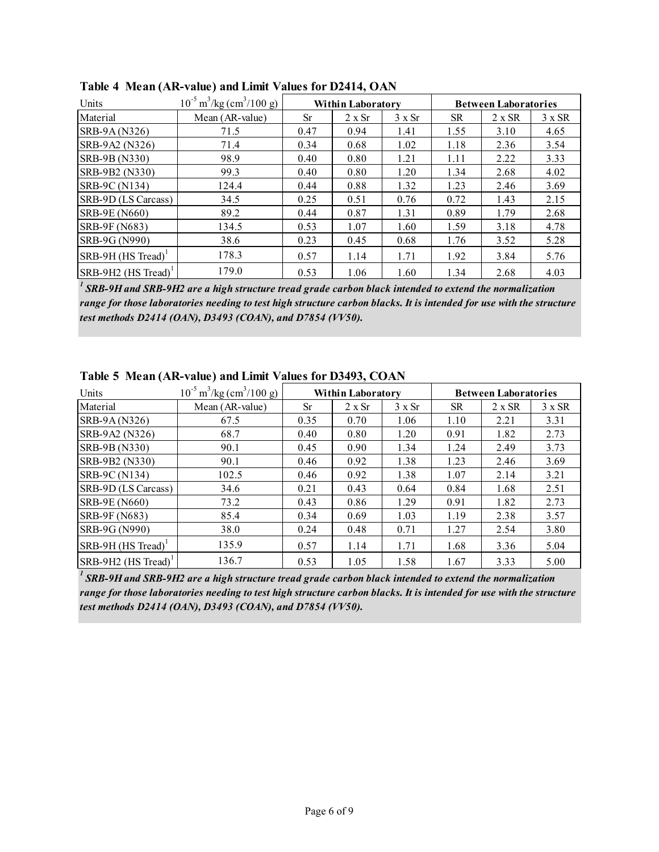| Units                           | $10^{-5}$ m <sup>3</sup> /kg (cm <sup>3</sup> /100 g) |           | <b>Within Laboratory</b> |               |           | <b>Between Laboratories</b> |               |  |
|---------------------------------|-------------------------------------------------------|-----------|--------------------------|---------------|-----------|-----------------------------|---------------|--|
| Material                        | Mean (AR-value)                                       | <b>Sr</b> | 2 x Sr                   | $3 \times Sr$ | <b>SR</b> | $2 \times SR$               | $3 \times SR$ |  |
| SRB-9A (N326)                   | 71.5                                                  | 0.47      | 0.94                     | 1.41          | 1.55      | 3.10                        | 4.65          |  |
| SRB-9A2 (N326)                  | 71.4                                                  | 0.34      | 0.68                     | 1.02          | 1.18      | 2.36                        | 3.54          |  |
| SRB-9B (N330)                   | 98.9                                                  | 0.40      | 0.80                     | 1.21          | 1.11      | 2.22                        | 3.33          |  |
| SRB-9B2 (N330)                  | 99.3                                                  | 0.40      | 0.80                     | 1.20          | 1.34      | 2.68                        | 4.02          |  |
| SRB-9C (N134)                   | 124.4                                                 | 0.44      | 0.88                     | 1.32          | 1.23      | 2.46                        | 3.69          |  |
| SRB-9D (LS Carcass)             | 34.5                                                  | 0.25      | 0.51                     | 0.76          | 0.72      | 1.43                        | 2.15          |  |
| SRB-9E (N660)                   | 89.2                                                  | 0.44      | 0.87                     | 1.31          | 0.89      | 1.79                        | 2.68          |  |
| SRB-9F (N683)                   | 134.5                                                 | 0.53      | 1.07                     | 1.60          | 1.59      | 3.18                        | 4.78          |  |
| SRB-9G (N990)                   | 38.6                                                  | 0.23      | 0.45                     | 0.68          | 1.76      | 3.52                        | 5.28          |  |
| SRB-9H (HS Tread) <sup>1</sup>  | 178.3                                                 | 0.57      | 1.14                     | 1.71          | 1.92      | 3.84                        | 5.76          |  |
| SRB-9H2 (HS Tread) <sup>1</sup> | 179.0                                                 | 0.53      | 1.06                     | 1.60          | 1.34      | 2.68                        | 4.03          |  |

**Table 4 Mean (AR-value) and Limit Values for D2414, OAN**

*1 SRB-9H and SRB-9H2 are a high structure tread grade carbon black intended to extend the normalization range for those laboratories needing to test high structure carbon blacks. It is intended for use with the structure test methods D2414 (OAN), D3493 (COAN), and D7854 (VV50).*

| Units                            | $10^{-5}$ m <sup>3</sup> /kg (cm <sup>3</sup> /100 g) |           | <b>Within Laboratory</b> |               |           | <b>Between Laboratories</b> |               |
|----------------------------------|-------------------------------------------------------|-----------|--------------------------|---------------|-----------|-----------------------------|---------------|
| Material                         | Mean (AR-value)                                       | <b>Sr</b> | 2 x Sr                   | $3 \times Sr$ | <b>SR</b> | $2 \times SR$               | $3 \times SR$ |
| SRB-9A (N326)                    | 67.5                                                  | 0.35      | 0.70                     | 1.06          | 1.10      | 2.21                        | 3.31          |
| SRB-9A2 (N326)                   | 68.7                                                  | 0.40      | 0.80                     | 1.20          | 0.91      | 1.82                        | 2.73          |
| SRB-9B (N330)                    | 90.1                                                  | 0.45      | 0.90                     | 1.34          | 1.24      | 2.49                        | 3.73          |
| SRB-9B2 (N330)                   | 90.1                                                  | 0.46      | 0.92                     | 1.38          | 1.23      | 2.46                        | 3.69          |
| SRB-9C (N134)                    | 102.5                                                 | 0.46      | 0.92                     | 1.38          | 1.07      | 2.14                        | 3.21          |
| SRB-9D (LS Carcass)              | 34.6                                                  | 0.21      | 0.43                     | 0.64          | 0.84      | 1.68                        | 2.51          |
| SRB-9E (N660)                    | 73.2                                                  | 0.43      | 0.86                     | 1.29          | 0.91      | 1.82                        | 2.73          |
| SRB-9F (N683)                    | 85.4                                                  | 0.34      | 0.69                     | 1.03          | 1.19      | 2.38                        | 3.57          |
| SRB-9G (N990)                    | 38.0                                                  | 0.24      | 0.48                     | 0.71          | 1.27      | 2.54                        | 3.80          |
| $SRB-9H$ (HS Tread) <sup>1</sup> | 135.9                                                 | 0.57      | 1.14                     | 1.71          | 1.68      | 3.36                        | 5.04          |
| SRB-9H2 (HS Tread) <sup>1</sup>  | 136.7                                                 | 0.53      | 1.05                     | 1.58          | 1.67      | 3.33                        | 5.00          |

**Table 5 Mean (AR-value) and Limit Values for D3493, COAN**

*1 SRB-9H and SRB-9H2 are a high structure tread grade carbon black intended to extend the normalization range for those laboratories needing to test high structure carbon blacks. It is intended for use with the structure test methods D2414 (OAN), D3493 (COAN), and D7854 (VV50).*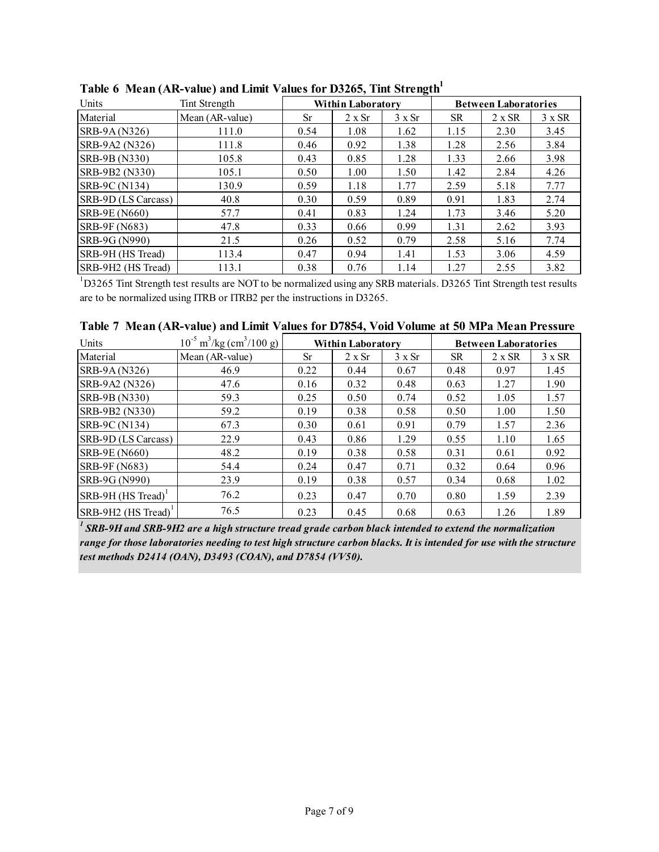| Units                | Tint Strength   |      | <b>Within Laboratory</b> | 0             |           | <b>Between Laboratories</b> |               |
|----------------------|-----------------|------|--------------------------|---------------|-----------|-----------------------------|---------------|
| Material             | Mean (AR-value) | Sr   | $2 \times Sr$            | $3 \times Sr$ | <b>SR</b> | $2 \times SR$               | $3 \times SR$ |
| SRB-9A (N326)        | 111.0           | 0.54 | 1.08                     | 1.62          | 1.15      | 2.30                        | 3.45          |
| SRB-9A2 (N326)       | 111.8           | 0.46 | 0.92                     | 1.38          | 1.28      | 2.56                        | 3.84          |
| SRB-9B (N330)        | 105.8           | 0.43 | 0.85                     | 1.28          | 1.33      | 2.66                        | 3.98          |
| SRB-9B2 (N330)       | 105.1           | 0.50 | 1.00                     | 1.50          | 1.42      | 2.84                        | 4.26          |
| SRB-9C (N134)        | 130.9           | 0.59 | 1.18                     | 1.77          | 2.59      | 5.18                        | 7.77          |
| SRB-9D (LS Carcass)  | 40.8            | 0.30 | 0.59                     | 0.89          | 0.91      | 1.83                        | 2.74          |
| <b>SRB-9E (N660)</b> | 57.7            | 0.41 | 0.83                     | 1.24          | 1.73      | 3.46                        | 5.20          |
| SRB-9F (N683)        | 47.8            | 0.33 | 0.66                     | 0.99          | 1.31      | 2.62                        | 3.93          |
| SRB-9G (N990)        | 21.5            | 0.26 | 0.52                     | 0.79          | 2.58      | 5.16                        | 7.74          |
| SRB-9H (HS Tread)    | 113.4           | 0.47 | 0.94                     | 1.41          | 1.53      | 3.06                        | 4.59          |
| SRB-9H2 (HS Tread)   | 113.1           | 0.38 | 0.76                     | 1.14          | 1.27      | 2.55                        | 3.82          |

Table 6 Mean (AR-value) and Limit Values for D3265, Tint Strength<sup>1</sup>

 $1D3265$  Tint Strength test results are NOT to be normalized using any SRB materials. D3265 Tint Strength test results are to be normalized using ITRB or ITRB2 per the instructions in D3265.

|  |  |  |  | Table 7 Mean (AR-value) and Limit Values for D7854, Void Volume at 50 MPa Mean Pressure |
|--|--|--|--|-----------------------------------------------------------------------------------------|
|--|--|--|--|-----------------------------------------------------------------------------------------|

| Units                          | $10^{-5}$ m <sup>3</sup> /kg (cm <sup>3</sup> /100 g) |           | <b>Within Laboratory</b> |               |           | <b>Between Laboratories</b> |               |
|--------------------------------|-------------------------------------------------------|-----------|--------------------------|---------------|-----------|-----------------------------|---------------|
| Material                       | Mean (AR-value)                                       | <b>Sr</b> | 2 x Sr                   | $3 \times Sr$ | <b>SR</b> | $2 \times SR$               | $3 \times SR$ |
| SRB-9A (N326)                  | 46.9                                                  | 0.22      | 0.44                     | 0.67          | 0.48      | 0.97                        | 1.45          |
| SRB-9A2 (N326)                 | 47.6                                                  | 0.16      | 0.32                     | 0.48          | 0.63      | 1.27                        | 1.90          |
| SRB-9B (N330)                  | 59.3                                                  | 0.25      | 0.50                     | 0.74          | 0.52      | 1.05                        | 1.57          |
| SRB-9B2 (N330)                 | 59.2                                                  | 0.19      | 0.38                     | 0.58          | 0.50      | 1.00                        | 1.50          |
| SRB-9C (N134)                  | 67.3                                                  | 0.30      | 0.61                     | 0.91          | 0.79      | 1.57                        | 2.36          |
| SRB-9D (LS Carcass)            | 22.9                                                  | 0.43      | 0.86                     | 1.29          | 0.55      | 1.10                        | 1.65          |
| <b>SRB-9E (N660)</b>           | 48.2                                                  | 0.19      | 0.38                     | 0.58          | 0.31      | 0.61                        | 0.92          |
| SRB-9F (N683)                  | 54.4                                                  | 0.24      | 0.47                     | 0.71          | 0.32      | 0.64                        | 0.96          |
| SRB-9G (N990)                  | 23.9                                                  | 0.19      | 0.38                     | 0.57          | 0.34      | 0.68                        | 1.02          |
| SRB-9H (HS Tread) <sup>1</sup> | 76.2                                                  | 0.23      | 0.47                     | 0.70          | 0.80      | 1.59                        | 2.39          |
| SRB-9H2 (HS Tread)             | 76.5                                                  | 0.23      | 0.45                     | 0.68          | 0.63      | 1.26                        | 1.89          |

*1 SRB-9H and SRB-9H2 are a high structure tread grade carbon black intended to extend the normalization range for those laboratories needing to test high structure carbon blacks. It is intended for use with the structure test methods D2414 (OAN), D3493 (COAN), and D7854 (VV50).*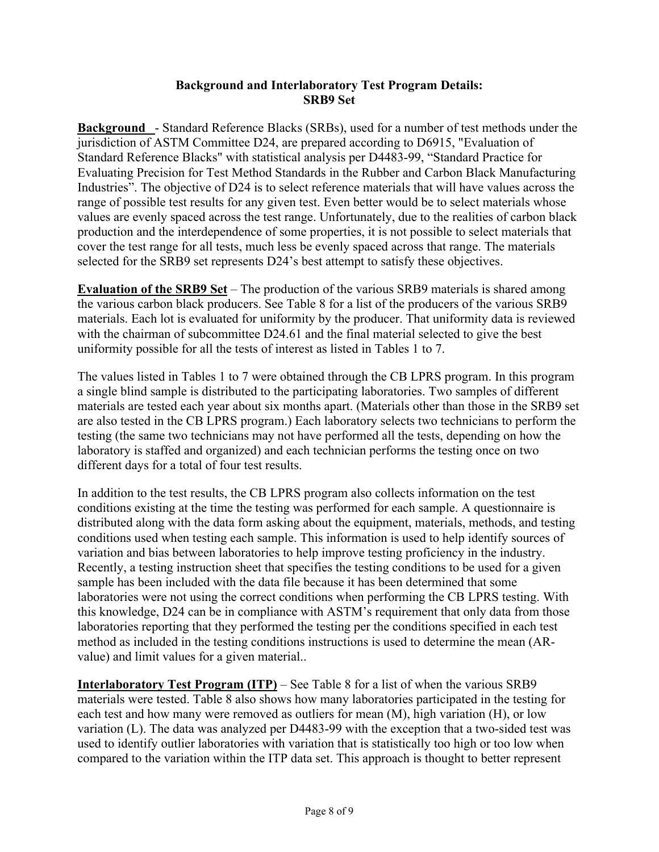#### **Background and Interlaboratory Test Program Details: SRB9 Set**

**Background** - Standard Reference Blacks (SRBs), used for a number of test methods under the jurisdiction of ASTM Committee D24, are prepared according to D6915, "Evaluation of Standard Reference Blacks" with statistical analysis per D4483-99, "Standard Practice for Evaluating Precision for Test Method Standards in the Rubber and Carbon Black Manufacturing Industries". The objective of D24 is to select reference materials that will have values across the range of possible test results for any given test. Even better would be to select materials whose values are evenly spaced across the test range. Unfortunately, due to the realities of carbon black production and the interdependence of some properties, it is not possible to select materials that cover the test range for all tests, much less be evenly spaced across that range. The materials selected for the SRB9 set represents D24's best attempt to satisfy these objectives.

**Evaluation of the SRB9 Set** – The production of the various SRB9 materials is shared among the various carbon black producers. See Table 8 for a list of the producers of the various SRB9 materials. Each lot is evaluated for uniformity by the producer. That uniformity data is reviewed with the chairman of subcommittee D24.61 and the final material selected to give the best uniformity possible for all the tests of interest as listed in Tables 1 to 7.

The values listed in Tables 1 to 7 were obtained through the CB LPRS program. In this program a single blind sample is distributed to the participating laboratories. Two samples of different materials are tested each year about six months apart. (Materials other than those in the SRB9 set are also tested in the CB LPRS program.) Each laboratory selects two technicians to perform the testing (the same two technicians may not have performed all the tests, depending on how the laboratory is staffed and organized) and each technician performs the testing once on two different days for a total of four test results.

In addition to the test results, the CB LPRS program also collects information on the test conditions existing at the time the testing was performed for each sample. A questionnaire is distributed along with the data form asking about the equipment, materials, methods, and testing conditions used when testing each sample. This information is used to help identify sources of variation and bias between laboratories to help improve testing proficiency in the industry. Recently, a testing instruction sheet that specifies the testing conditions to be used for a given sample has been included with the data file because it has been determined that some laboratories were not using the correct conditions when performing the CB LPRS testing. With this knowledge, D24 can be in compliance with ASTM's requirement that only data from those laboratories reporting that they performed the testing per the conditions specified in each test method as included in the testing conditions instructions is used to determine the mean (ARvalue) and limit values for a given material..

**Interlaboratory Test Program (ITP)** – See Table 8 for a list of when the various SRB9 materials were tested. Table 8 also shows how many laboratories participated in the testing for each test and how many were removed as outliers for mean (M), high variation (H), or low variation (L). The data was analyzed per D4483-99 with the exception that a two-sided test was used to identify outlier laboratories with variation that is statistically too high or too low when compared to the variation within the ITP data set. This approach is thought to better represent